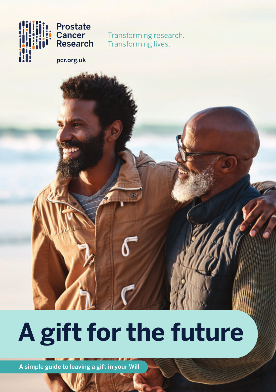

**Prostate Cancer Research** 

Transforming research. Transforming lives.

pcr.org.uk

# **A gift for the future**

A simple guide to leaving a gift in your Will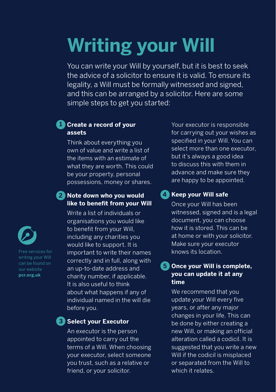# **Writing your Will**

You can write your Will by yourself, but it is best to seek the advice of a solicitor to ensure it is valid. To ensure its legality, a Will must be formally witnessed and signed, and this can be arranged by a solicitor. Here are some simple steps to get you started:

# **L** Create a record of your **assets**

Think about everything you own of value and write a list of the items with an estimate of what they are worth. This could be your property, personal possessions, money or shares.

# **Note down who you would 2 like to benefit from your Will**

Write a list of individuals or organisations you would like to benefit from your Will, including any charities you would like to support. It is important to write their names correctly and in full, along with an up-to-date address and charity number, if applicable. It is also useful to think about what happens if any of individual named in the will die before you.

#### **S** Select your Executor

An executor is the person appointed to carry out the terms of a Will. When choosing your executor, select someone you trust, such as a relative or friend, or your solicitor.

Your executor is responsible for carrying out your wishes as specified in your Will. You can select more than one executor, but it's always a good idea to discuss this with them in advance and make sure they are happy to be appointed.

### **4** Keep your Will safe

Once your Will has been witnessed, signed and is a legal document, you can choose how it is stored. This can be at home or with your solicitor. Make sure your executor knows its location.

### **Once your Will is complete, 5 you can update it at any time**

We recommend that you update your Will every five years, or after any major changes in your life. This can be done by either creating a new Will, or making an official alteration called a codicil. It is suggested that you write a new Will if the codicil is misplaced or separated from the Will to which it relates



Free services for writing your Will can be found on our website **pcr.org.uk**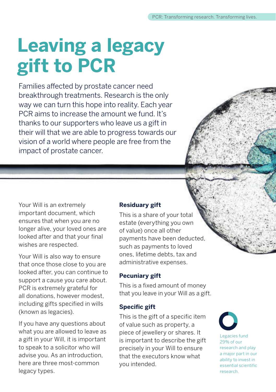# **Leaving a legacy gift to PCR**

Families affected by prostate cancer need breakthrough treatments. Research is the only way we can turn this hope into reality. Each year PCR aims to increase the amount we fund. It's thanks to our supporters who leave us a gift in their will that we are able to progress towards our vision of a world where people are free from the impact of prostate cancer.

Your Will is an extremely important document, which ensures that when you are no longer alive, your loved ones are looked after and that your final wishes are respected.

Your Will is also way to ensure that once those close to you are looked after, you can continue to support a cause you care about. PCR is extremely grateful for all donations, however modest, including gifts specified in wills (known as legacies).

If you have any questions about what you are allowed to leave as a gift in your Will, it is important to speak to a solicitor who will advise you. As an introduction, here are three most-common legacy types.

#### **Residuary gift**

This is a share of your total estate (everything you own of value) once all other payments have been deducted, such as payments to loved ones, lifetime debts, tax and administrative expenses.

#### **Pecuniary gift**

This is a fixed amount of money that you leave in your Will as a gift.

#### **Specific gift**

This is the gift of a specific item of value such as property, a piece of jewellery or shares. It is important to describe the gift precisely in your Will to ensure that the executors know what you intended.



Legacies fund 29% of our research and play a major part in our ability to invest in essential scientific research.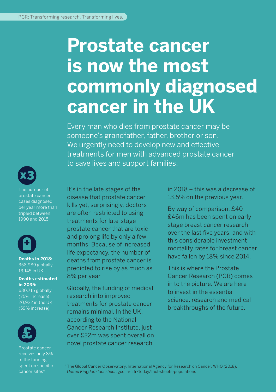# **Prostate cancer is now the most commonly diagnosed cancer in the UK**

Every man who dies from prostate cancer may be someone's grandfather, father, brother or son. We urgently need to develop new and effective treatments for men with advanced prostate cancer to save lives and support families.



The number of prostate cancer cases diagnosed per year more than tripled between 1990 and 2015



**Deaths in 2018:** 358,989 globally 13,145 in UK

#### **Deaths estimated in 2035:**

630,715 globally (75% increase) 20,922 in the UK (59% increase)



Prostate cancer receives only 8% of the funding spent on specific cancer sites\*

It's in the late stages of the disease that prostate cancer kills yet, surprisingly, doctors are often restricted to using treatments for late-stage prostate cancer that are toxic and prolong life by only a few months. Because of increased life expectancy, the number of deaths from prostate cancer is predicted to rise by as much as 8% per year.

Globally, the funding of medical research into improved treatments for prostate cancer remains minimal. In the UK, according to the National Cancer Research Institute, just over £22m was spent overall on novel prostate cancer research

in 2018 – this was a decrease of 13.5% on the previous year.

By way of comparison, £40– £46m has been spent on earlystage breast cancer research over the last five years, and with this considerable investment mortality rates for breast cancer have fallen by 18% since 2014.

This is where the Prostate Cancer Research (PCR) comes in to the picture. We are here to invest in the essential science, research and medical breakthroughs of the future.

\* The Global Cancer Observatory, International Agency for Research on Cancer, WHO (2018). *United Kingdom fact sheet*. gco.iarc.fr/today/fact-sheets-populations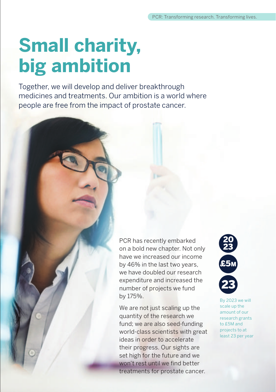# **Small charity, big ambition**

Together, we will develop and deliver breakthrough medicines and treatments. Our ambition is a world where people are free from the impact of prostate cancer.

> PCR has recently embarked on a bold new chapter. Not only have we increased our income by 46% in the last two years, we have doubled our research expenditure and increased the number of projects we fund by 175%.

We are not just scaling up the quantity of the research we fund; we are also seed-funding world-class scientists with great ideas in order to accelerate their progress. Our sights are set high for the future and we won't rest until we find better treatments for prostate cancer.



By 2023 we will scale up the amount of our research grants to £5M and projects to at least 23 per year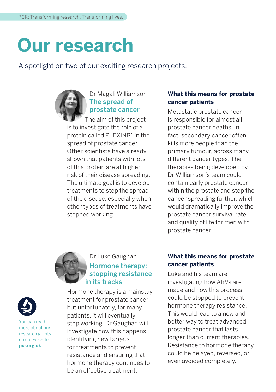# **Our research**

A spotlight on two of our exciting research projects.



# Dr Magali Williamson The spread of prostate cancer

 The aim of this project is to investigate the role of a protein called PLEXINB1 in the spread of prostate cancer. Other scientists have already shown that patients with lots of this protein are at higher risk of their disease spreading. The ultimate goal is to develop treatments to stop the spread of the disease, especially when other types of treatments have stopped working.

### **What this means for prostate cancer patients**

Metastatic prostate cancer is responsible for almost all prostate cancer deaths. In fact, secondary cancer often kills more people than the primary tumour, across many different cancer types. The therapies being developed by Dr Williamson's team could contain early prostate cancer within the prostate and stop the cancer spreading further, which would dramatically improve the prostate cancer survival rate, and quality of life for men with prostate cancer.



# Dr Luke Gaughan Hormone therapy: stopping resistance in its tracks

Hormone therapy is a mainstay treatment for prostate cancer but unfortunately, for many patients, it will eventually stop working. Dr Gaughan will investigate how this happens, identifying new targets for treatments to prevent resistance and ensuring that hormone therapy continues to be an effective treatment.

# **What this means for prostate cancer patients**

Luke and his team are investigating how ARVs are made and how this process could be stopped to prevent hormone therapy resistance. This would lead to a new and better way to treat advanced prostate cancer that lasts longer than current therapies. Resistance to hormone therapy could be delayed, reversed, or even avoided completely.



You can read more about our research grants on our website **pcr.org.uk**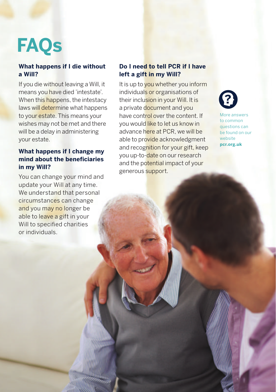# **FAQs**

### **What happens if I die without a Will?**

If you die without leaving a Will, it means you have died 'intestate'. When this happens, the intestacy laws will determine what happens to your estate. This means your wishes may not be met and there will be a delay in administering your estate.

# **What happens if I change my mind about the beneficiaries in my Will?**

You can change your mind and update your Will at any time. We understand that personal circumstances can change and you may no longer be able to leave a gift in your Will to specified charities or individuals.

### **Do I need to tell PCR if I have left a gift in my Will?**

It is up to you whether you inform individuals or organisations of their inclusion in your Will. It is a private document and you have control over the content. If you would like to let us know in advance here at PCR, we will be able to provide acknowledgment and recognition for your gift, keep you up-to-date on our research and the potential impact of your generous support.



More answers to common questions can be found on our website **pcr.org.uk**